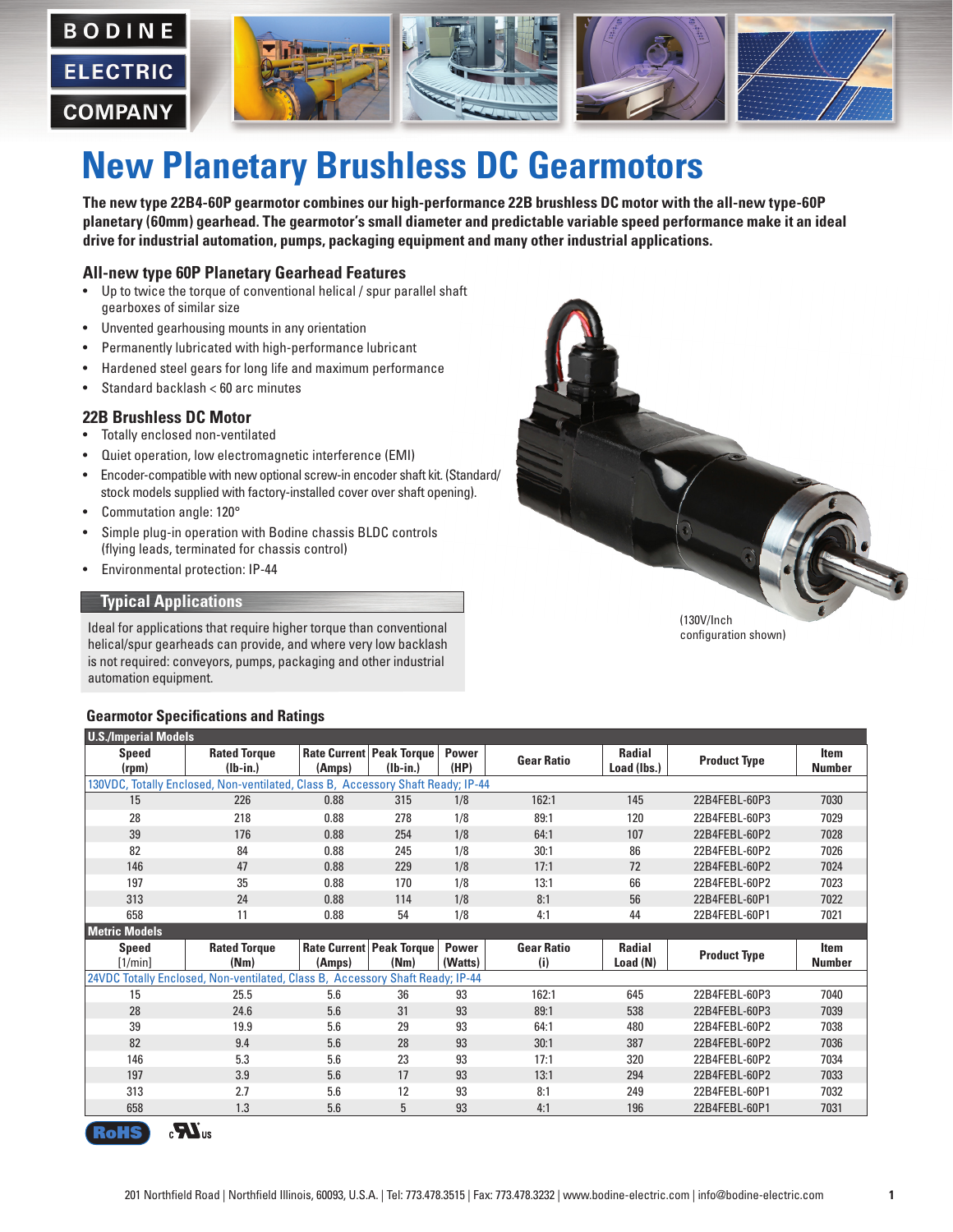

# **New Planetary Brushless DC Gearmotors**

**The new type 22B4-60P gearmotor combines our high-performance 22B brushless DC motor with the all-new type-60P planetary (60mm) gearhead. The gearmotor's small diameter and predictable variable speed performance make it an ideal drive for industrial automation, pumps, packaging equipment and many other industrial applications.** 

#### **All-new type 60P Planetary Gearhead Features**

- Up to twice the torque of conventional helical / spur parallel shaft gearboxes of similar size
- Unvented gearhousing mounts in any orientation
- Permanently lubricated with high-performance lubricant
- Hardened steel gears for long life and maximum performance
- Standard backlash < 60 arc minutes

#### **22B Brushless DC Motor**

- Totally enclosed non-ventilated
- Quiet operation, low electromagnetic interference (EMI)
- Encoder-compatible with new optional screw-in encoder shaft kit. (Standard/ stock models supplied with factory-installed cover over shaft opening).
- Commutation angle: 120°
- Simple plug-in operation with Bodine chassis BLDC controls (flying leads, terminated for chassis control)
- Environmental protection: IP-44

#### **Typical Applications**

Ideal for applications that require higher torque than conventional helical/spur gearheads can provide, and where very low backlash is not required: conveyors, pumps, packaging and other industrial automation equipment.

#### **Gearmotor Specifications and Ratings**



configuration shown)

| <b>U.S./Imperial Models</b>                                                     |                                   |        |                                               |                      |                   |                              |                     |                       |
|---------------------------------------------------------------------------------|-----------------------------------|--------|-----------------------------------------------|----------------------|-------------------|------------------------------|---------------------|-----------------------|
| <b>Speed</b><br>(rpm)                                                           | <b>Rated Torque</b><br>$(Ib-in.)$ | (Amps) | <b>Rate Current Peak Torque</b><br>$(lb-in.)$ | <b>Power</b><br>(HP) | <b>Gear Ratio</b> | <b>Radial</b><br>Load (lbs.) | <b>Product Type</b> | Item<br><b>Number</b> |
| 130VDC, Totally Enclosed, Non-ventilated, Class B, Accessory Shaft Ready; IP-44 |                                   |        |                                               |                      |                   |                              |                     |                       |
| 15                                                                              | 226                               | 0.88   | 315                                           | 1/8                  | 162:1             | 145                          | 22B4FEBL-60P3       | 7030                  |
| 28                                                                              | 218                               | 0.88   | 278                                           | 1/8                  | 89:1              | 120                          | 22B4FEBL-60P3       | 7029                  |
| 39                                                                              | 176                               | 0.88   | 254                                           | 1/8                  | 64:1              | 107                          | 22B4FEBL-60P2       | 7028                  |
| 82                                                                              | 84                                | 0.88   | 245                                           | 1/8                  | 30:1              | 86                           | 22B4FEBL-60P2       | 7026                  |
| 146                                                                             | 47                                | 0.88   | 229                                           | 1/8                  | 17:1              | 72                           | 22B4FEBL-60P2       | 7024                  |
| 197                                                                             | 35                                | 0.88   | 170                                           | 1/8                  | 13:1              | 66                           | 22B4FEBL-60P2       | 7023                  |
| 313                                                                             | 24                                | 0.88   | 114                                           | 1/8                  | 8:1               | 56                           | 22B4FEBL-60P1       | 7022                  |
| 658                                                                             | 11                                | 0.88   | 54                                            | 1/8                  | 4:1               | 44                           | 22B4FEBL-60P1       | 7021                  |
| <b>Metric Models</b>                                                            |                                   |        |                                               |                      |                   |                              |                     |                       |
| <b>Speed</b>                                                                    | <b>Rated Torque</b>               |        | <b>Rate Current Peak Torque</b>               | <b>Power</b>         | <b>Gear Ratio</b> | <b>Radial</b>                | <b>Product Type</b> | <b>Item</b>           |
| [1/min]                                                                         | (Nm)                              | (Amps) | (Nm)                                          | (Watts)              | (i)               | Load (N)                     |                     | <b>Number</b>         |
| 24VDC Totally Enclosed, Non-ventilated, Class B, Accessory Shaft Ready; IP-44   |                                   |        |                                               |                      |                   |                              |                     |                       |
| 15                                                                              | 25.5                              | 5.6    | 36                                            | 93                   | 162:1             | 645                          | 22B4FEBL-60P3       | 7040                  |
| 28                                                                              | 24.6                              | 5.6    | 31                                            | 93                   | 89:1              | 538                          | 22B4FEBL-60P3       | 7039                  |
| 39                                                                              | 19.9                              | 5.6    | 29                                            | 93                   | 64:1              | 480                          | 22B4FEBL-60P2       | 7038                  |
| 82                                                                              | 9.4                               | 5.6    | 28                                            | 93                   | 30:1              | 387                          | 22B4FEBL-60P2       | 7036                  |
| 146                                                                             | 5.3                               | 5.6    | 23                                            | 93                   | 17:1              | 320                          | 22B4FEBL-60P2       | 7034                  |
| 197                                                                             | 3.9                               | 5.6    | 17                                            | 93                   | 13:1              | 294                          | 22B4FEBL-60P2       | 7033                  |
| 313                                                                             | 2.7                               | 5.6    | 12                                            | 93                   | 8:1               | 249                          | 22B4FEBL-60P1       | 7032                  |
| 658                                                                             | 1.3                               | 5.6    | 5                                             | 93                   | 4:1               | 196                          | 22B4FEBL-60P1       | 7031                  |

 $\mathbf{M}$ <sub>us</sub> <u>ଲ</u>: